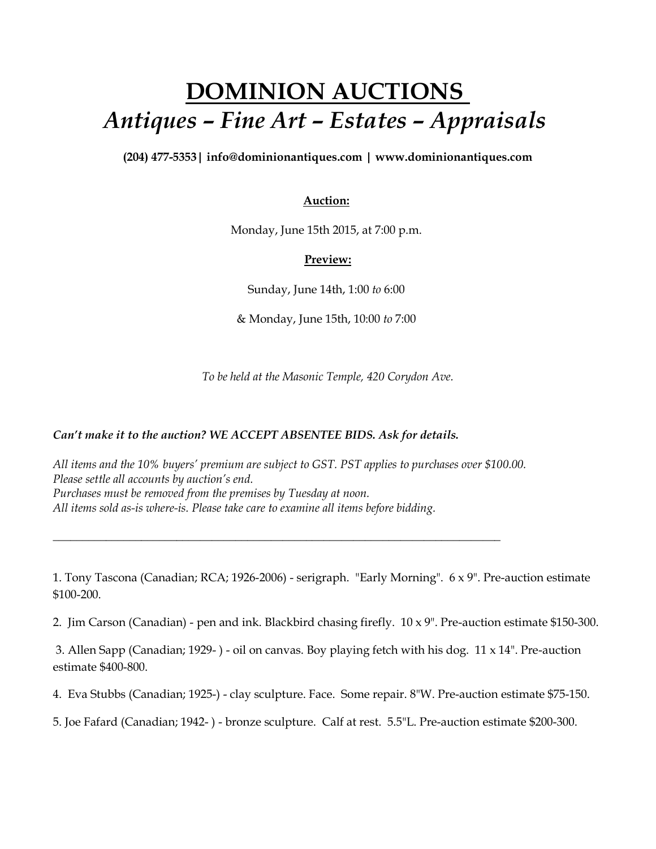## **DOMINION AUCTIONS** *Antiques – Fine Art – Estates – Appraisals*

**(204) 477-5353| [info@dominionantiques.com | www.dominionantiques.com](mailto:info@dominionantiques.com%20%7C%20www.dominionantiques.com)**

## **Auction:**

Monday, June 15th 2015, at 7:00 p.m.

## **Preview:**

Sunday, June 14th, 1:00 *to* 6:00

& Monday, June 15th, 10:00 *to* 7:00

*To be held at the Masonic Temple, 420 Corydon Ave.*

## *Can't make it to the auction? WE ACCEPT ABSENTEE BIDS. Ask for details.*

*All items and the 10% buyers' premium are subject to GST. PST applies to purchases over \$100.00. Please settle all accounts by auction's end. Purchases must be removed from the premises by Tuesday at noon. All items sold as-is where-is. Please take care to examine all items before bidding.*

*\_\_\_\_\_\_\_\_\_\_\_\_\_\_\_\_\_\_\_\_\_\_\_\_\_\_\_\_\_\_\_\_\_\_\_\_\_\_\_\_\_\_\_\_\_\_\_\_\_\_\_\_\_\_\_\_\_\_\_\_\_\_\_\_\_\_\_\_\_\_\_\_\_\_\_\_*

1. Tony Tascona (Canadian; RCA; 1926-2006) - serigraph. "Early Morning". 6 x 9". Pre-auction estimate \$100-200.

2. Jim Carson (Canadian) - pen and ink. Blackbird chasing firefly. 10 x 9". Pre-auction estimate \$150-300.

3. Allen Sapp (Canadian; 1929- ) - oil on canvas. Boy playing fetch with his dog. 11 x 14". Pre-auction estimate \$400-800.

4. Eva Stubbs (Canadian; 1925-) - clay sculpture. Face. Some repair. 8"W. Pre-auction estimate \$75-150.

5. Joe Fafard (Canadian; 1942- ) - bronze sculpture. Calf at rest. 5.5"L. Pre-auction estimate \$200-300.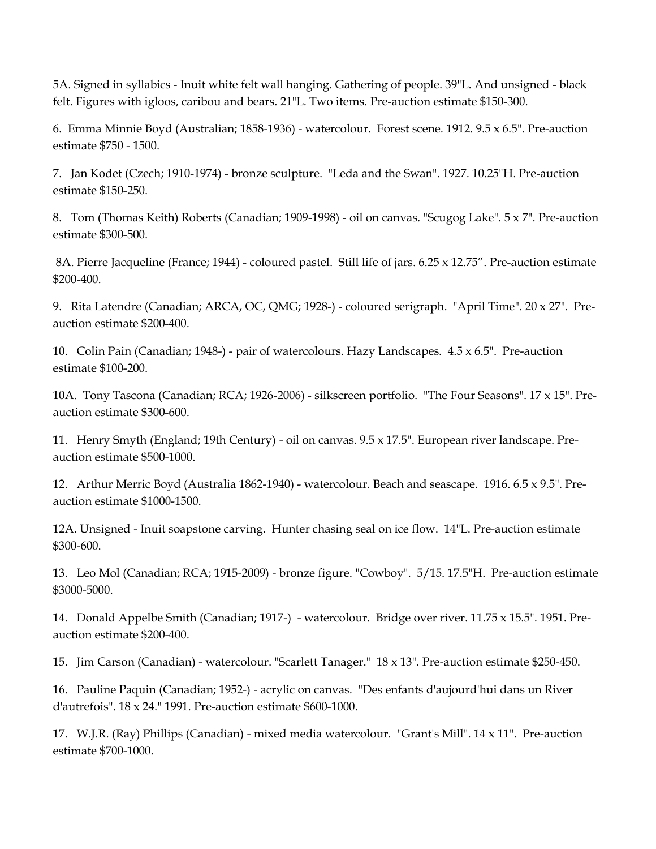5A. Signed in syllabics - Inuit white felt wall hanging. Gathering of people. 39"L. And unsigned - black felt. Figures with igloos, caribou and bears. 21"L. Two items. Pre-auction estimate \$150-300.

6. Emma Minnie Boyd (Australian; 1858-1936) - watercolour. Forest scene. 1912. 9.5 x 6.5". Pre-auction estimate \$750 - 1500.

7. Jan Kodet (Czech; 1910-1974) - bronze sculpture. "Leda and the Swan". 1927. 10.25"H. Pre-auction estimate \$150-250.

8. Tom (Thomas Keith) Roberts (Canadian; 1909-1998) - oil on canvas. "Scugog Lake". 5 x 7". Pre-auction estimate \$300-500.

8A. Pierre Jacqueline (France; 1944) - coloured pastel. Still life of jars. 6.25 x 12.75". Pre-auction estimate \$200-400.

9. Rita Latendre (Canadian; ARCA, OC, QMG; 1928-) - coloured serigraph. "April Time". 20 x 27". Preauction estimate \$200-400.

10. Colin Pain (Canadian; 1948-) - pair of watercolours. Hazy Landscapes. 4.5 x 6.5". Pre-auction estimate \$100-200.

10A. Tony Tascona (Canadian; RCA; 1926-2006) - silkscreen portfolio. "The Four Seasons". 17 x 15". Preauction estimate \$300-600.

11. Henry Smyth (England; 19th Century) - oil on canvas. 9.5 x 17.5". European river landscape. Preauction estimate \$500-1000.

12. Arthur Merric Boyd (Australia 1862-1940) - watercolour. Beach and seascape. 1916. 6.5 x 9.5". Preauction estimate \$1000-1500.

12A. Unsigned - Inuit soapstone carving. Hunter chasing seal on ice flow. 14"L. Pre-auction estimate \$300-600.

13. Leo Mol (Canadian; RCA; 1915-2009) - bronze figure. "Cowboy". 5/15. 17.5"H. Pre-auction estimate \$3000-5000.

14. Donald Appelbe Smith (Canadian; 1917-) - watercolour. Bridge over river. 11.75 x 15.5". 1951. Preauction estimate \$200-400.

15. Jim Carson (Canadian) - watercolour. "Scarlett Tanager." 18 x 13". Pre-auction estimate \$250-450.

16. Pauline Paquin (Canadian; 1952-) - acrylic on canvas. "Des enfants d'aujourd'hui dans un River d'autrefois". 18 x 24." 1991. Pre-auction estimate \$600-1000.

17. W.J.R. (Ray) Phillips (Canadian) - mixed media watercolour. "Grant's Mill". 14 x 11". Pre-auction estimate \$700-1000.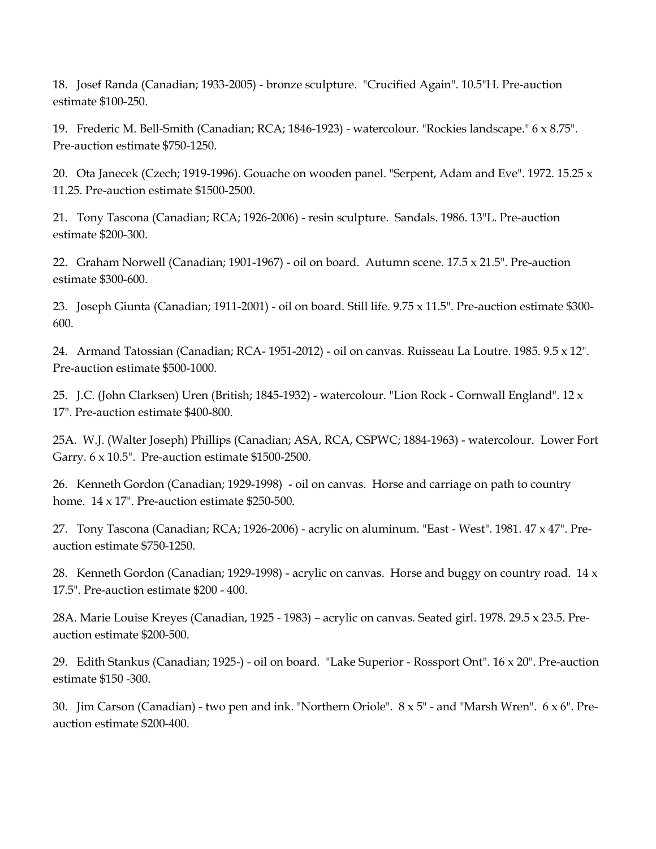18. Josef Randa (Canadian; 1933-2005) - bronze sculpture. "Crucified Again". 10.5"H. Pre-auction estimate \$100-250.

19. Frederic M. Bell-Smith (Canadian; RCA; 1846-1923) - watercolour. "Rockies landscape." 6 x 8.75". Pre-auction estimate \$750-1250.

20. Ota Janecek (Czech; 1919-1996). Gouache on wooden panel. "Serpent, Adam and Eve". 1972. 15.25 x 11.25. Pre-auction estimate \$1500-2500.

21. Tony Tascona (Canadian; RCA; 1926-2006) - resin sculpture. Sandals. 1986. 13"L. Pre-auction estimate \$200-300.

22. Graham Norwell (Canadian; 1901-1967) - oil on board. Autumn scene. 17.5 x 21.5". Pre-auction estimate \$300-600.

23. Joseph Giunta (Canadian; 1911-2001) - oil on board. Still life. 9.75 x 11.5". Pre-auction estimate \$300- 600.

24. Armand Tatossian (Canadian; RCA- 1951-2012) - oil on canvas. Ruisseau La Loutre. 1985. 9.5 x 12". Pre-auction estimate \$500-1000.

25. J.C. (John Clarksen) Uren (British; 1845-1932) - watercolour. "Lion Rock - Cornwall England". 12 x 17". Pre-auction estimate \$400-800.

25A. W.J. (Walter Joseph) Phillips (Canadian; ASA, RCA, CSPWC; 1884-1963) - watercolour. Lower Fort Garry. 6 x 10.5". Pre-auction estimate \$1500-2500.

26. Kenneth Gordon (Canadian; 1929-1998) - oil on canvas. Horse and carriage on path to country home. 14 x 17". Pre-auction estimate \$250-500.

27. Tony Tascona (Canadian; RCA; 1926-2006) - acrylic on aluminum. "East - West". 1981. 47 x 47". Preauction estimate \$750-1250.

28. Kenneth Gordon (Canadian; 1929-1998) - acrylic on canvas. Horse and buggy on country road. 14 x 17.5". Pre-auction estimate \$200 - 400.

28A. Marie Louise Kreyes (Canadian, 1925 - 1983) – acrylic on canvas. Seated girl. 1978. 29.5 x 23.5. Preauction estimate \$200-500.

29. Edith Stankus (Canadian; 1925-) - oil on board. "Lake Superior - Rossport Ont". 16 x 20". Pre-auction estimate \$150 -300.

30. Jim Carson (Canadian) - two pen and ink. "Northern Oriole". 8 x 5" - and "Marsh Wren". 6 x 6". Preauction estimate \$200-400.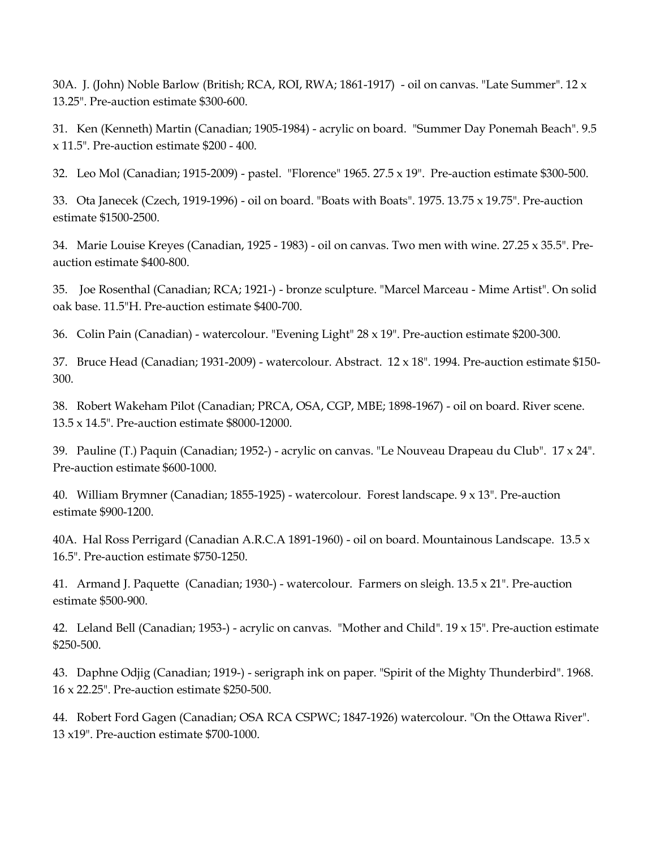30A. J. (John) Noble Barlow (British; RCA, ROI, RWA; 1861-1917) - oil on canvas. "Late Summer". 12 x 13.25". Pre-auction estimate \$300-600.

31. Ken (Kenneth) Martin (Canadian; 1905-1984) - acrylic on board. "Summer Day Ponemah Beach". 9.5 x 11.5". Pre-auction estimate \$200 - 400.

32. Leo Mol (Canadian; 1915-2009) - pastel. "Florence" 1965. 27.5 x 19". Pre-auction estimate \$300-500.

33. Ota Janecek (Czech, 1919-1996) - oil on board. "Boats with Boats". 1975. 13.75 x 19.75". Pre-auction estimate \$1500-2500.

34. Marie Louise Kreyes (Canadian, 1925 - 1983) - oil on canvas. Two men with wine. 27.25 x 35.5". Preauction estimate \$400-800.

35. Joe Rosenthal (Canadian; RCA; 1921-) - bronze sculpture. "Marcel Marceau - Mime Artist". On solid oak base. 11.5"H. Pre-auction estimate \$400-700.

36. Colin Pain (Canadian) - watercolour. "Evening Light" 28 x 19". Pre-auction estimate \$200-300.

37. Bruce Head (Canadian; 1931-2009) - watercolour. Abstract. 12 x 18". 1994. Pre-auction estimate \$150- 300.

38. Robert Wakeham Pilot (Canadian; PRCA, OSA, CGP, MBE; 1898-1967) - oil on board. River scene. 13.5 x 14.5". Pre-auction estimate \$8000-12000.

39. Pauline (T.) Paquin (Canadian; 1952-) - acrylic on canvas. "Le Nouveau Drapeau du Club". 17 x 24". Pre-auction estimate \$600-1000.

40. William Brymner (Canadian; 1855-1925) - watercolour. Forest landscape. 9 x 13". Pre-auction estimate \$900-1200.

40A. Hal Ross Perrigard (Canadian A.R.C.A 1891-1960) - oil on board. Mountainous Landscape. 13.5 x 16.5". Pre-auction estimate \$750-1250.

41. Armand J. Paquette (Canadian; 1930-) - watercolour. Farmers on sleigh. 13.5 x 21". Pre-auction estimate \$500-900.

42. Leland Bell (Canadian; 1953-) - acrylic on canvas. "Mother and Child". 19 x 15". Pre-auction estimate \$250-500.

43. Daphne Odjig (Canadian; 1919-) - serigraph ink on paper. "Spirit of the Mighty Thunderbird". 1968. 16 x 22.25". Pre-auction estimate \$250-500.

44. Robert Ford Gagen (Canadian; OSA RCA CSPWC; 1847-1926) watercolour. "On the Ottawa River". 13 x19". Pre-auction estimate \$700-1000.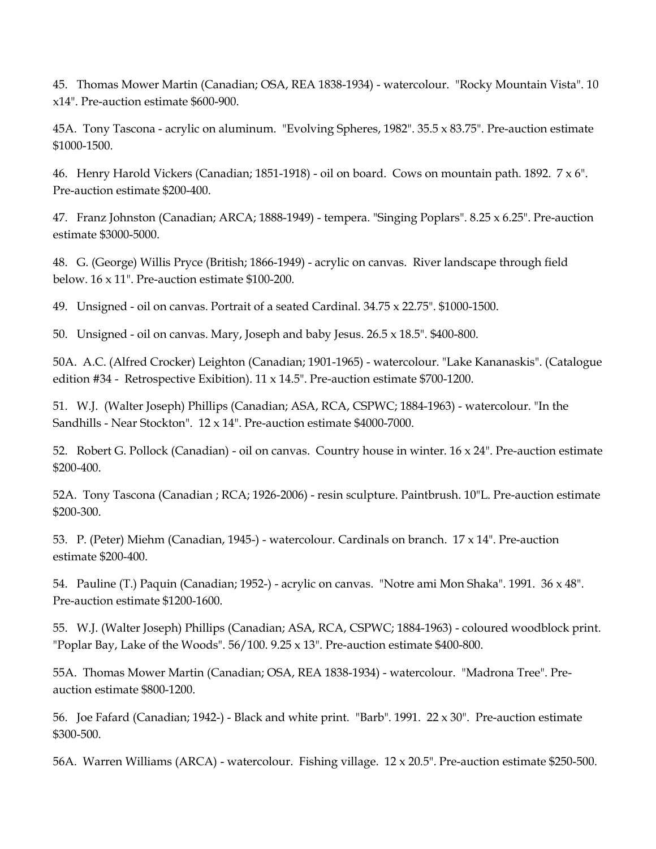45. Thomas Mower Martin (Canadian; OSA, REA 1838-1934) - watercolour. "Rocky Mountain Vista". 10 x14". Pre-auction estimate \$600-900.

45A. Tony Tascona - acrylic on aluminum. "Evolving Spheres, 1982". 35.5 x 83.75". Pre-auction estimate \$1000-1500.

46. Henry Harold Vickers (Canadian; 1851-1918) - oil on board. Cows on mountain path. 1892. 7 x 6". Pre-auction estimate \$200-400.

47. Franz Johnston (Canadian; ARCA; 1888-1949) - tempera. "Singing Poplars". 8.25 x 6.25". Pre-auction estimate \$3000-5000.

48. G. (George) Willis Pryce (British; 1866-1949) - acrylic on canvas. River landscape through field below. 16 x 11". Pre-auction estimate \$100-200.

49. Unsigned - oil on canvas. Portrait of a seated Cardinal. 34.75 x 22.75". \$1000-1500.

50. Unsigned - oil on canvas. Mary, Joseph and baby Jesus. 26.5 x 18.5". \$400-800.

50A. A.C. (Alfred Crocker) Leighton (Canadian; 1901-1965) - watercolour. "Lake Kananaskis". (Catalogue edition #34 - Retrospective Exibition). 11 x 14.5". Pre-auction estimate \$700-1200.

51. W.J. (Walter Joseph) Phillips (Canadian; ASA, RCA, CSPWC; 1884-1963) - watercolour. "In the Sandhills - Near Stockton". 12 x 14". Pre-auction estimate \$4000-7000.

52. Robert G. Pollock (Canadian) - oil on canvas. Country house in winter. 16 x 24". Pre-auction estimate \$200-400.

52A. Tony Tascona (Canadian ; RCA; 1926-2006) - resin sculpture. Paintbrush. 10"L. Pre-auction estimate \$200-300.

53. P. (Peter) Miehm (Canadian, 1945-) - watercolour. Cardinals on branch. 17 x 14". Pre-auction estimate \$200-400.

54. Pauline (T.) Paquin (Canadian; 1952-) - acrylic on canvas. "Notre ami Mon Shaka". 1991. 36 x 48". Pre-auction estimate \$1200-1600.

55. W.J. (Walter Joseph) Phillips (Canadian; ASA, RCA, CSPWC; 1884-1963) - coloured woodblock print. "Poplar Bay, Lake of the Woods". 56/100. 9.25 x 13". Pre-auction estimate \$400-800.

55A. Thomas Mower Martin (Canadian; OSA, REA 1838-1934) - watercolour. "Madrona Tree". Preauction estimate \$800-1200.

56. Joe Fafard (Canadian; 1942-) - Black and white print. "Barb". 1991. 22 x 30". Pre-auction estimate \$300-500.

56A. Warren Williams (ARCA) - watercolour. Fishing village. 12 x 20.5". Pre-auction estimate \$250-500.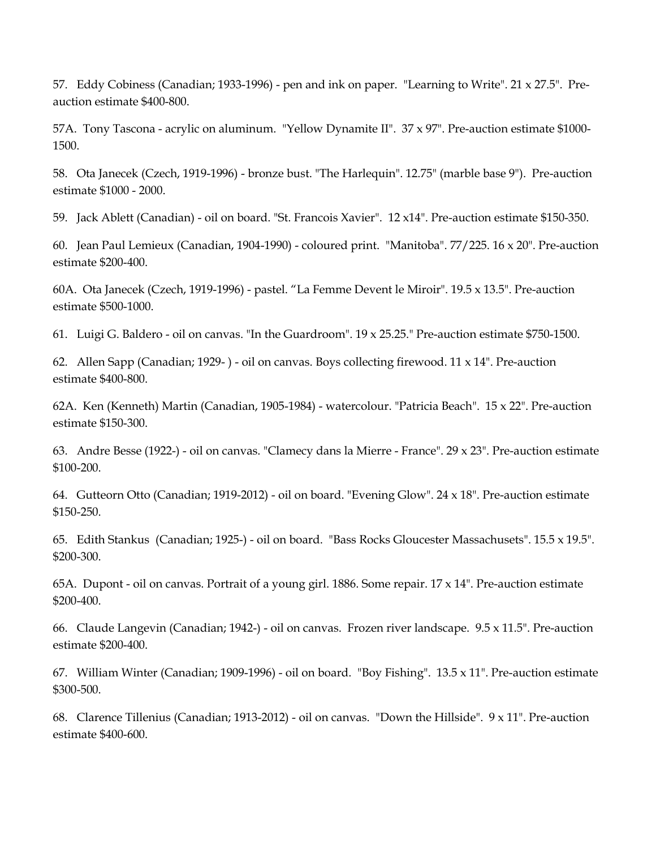57. Eddy Cobiness (Canadian; 1933-1996) - pen and ink on paper. "Learning to Write". 21 x 27.5". Preauction estimate \$400-800.

57A. Tony Tascona - acrylic on aluminum. "Yellow Dynamite II". 37 x 97". Pre-auction estimate \$1000- 1500.

58. Ota Janecek (Czech, 1919-1996) - bronze bust. "The Harlequin". 12.75" (marble base 9"). Pre-auction estimate \$1000 - 2000.

59. Jack Ablett (Canadian) - oil on board. "St. Francois Xavier". 12 x14". Pre-auction estimate \$150-350.

60. Jean Paul Lemieux (Canadian, 1904-1990) - coloured print. "Manitoba". 77/225. 16 x 20". Pre-auction estimate \$200-400.

60A. Ota Janecek (Czech, 1919-1996) - pastel. "La Femme Devent le Miroir". 19.5 x 13.5". Pre-auction estimate \$500-1000.

61. Luigi G. Baldero - oil on canvas. "In the Guardroom". 19 x 25.25." Pre-auction estimate \$750-1500.

62. Allen Sapp (Canadian; 1929- ) - oil on canvas. Boys collecting firewood. 11 x 14". Pre-auction estimate \$400-800.

62A. Ken (Kenneth) Martin (Canadian, 1905-1984) - watercolour. "Patricia Beach". 15 x 22". Pre-auction estimate \$150-300.

63. Andre Besse (1922-) - oil on canvas. "Clamecy dans la Mierre - France". 29 x 23". Pre-auction estimate \$100-200.

64. Gutteorn Otto (Canadian; 1919-2012) - oil on board. "Evening Glow". 24 x 18". Pre-auction estimate \$150-250.

65. Edith Stankus (Canadian; 1925-) - oil on board. "Bass Rocks Gloucester Massachusets". 15.5 x 19.5". \$200-300.

65A. Dupont - oil on canvas. Portrait of a young girl. 1886. Some repair. 17 x 14". Pre-auction estimate \$200-400.

66. Claude Langevin (Canadian; 1942-) - oil on canvas. Frozen river landscape. 9.5 x 11.5". Pre-auction estimate \$200-400.

67. William Winter (Canadian; 1909-1996) - oil on board. "Boy Fishing". 13.5 x 11". Pre-auction estimate \$300-500.

68. Clarence Tillenius (Canadian; 1913-2012) - oil on canvas. "Down the Hillside". 9 x 11". Pre-auction estimate \$400-600.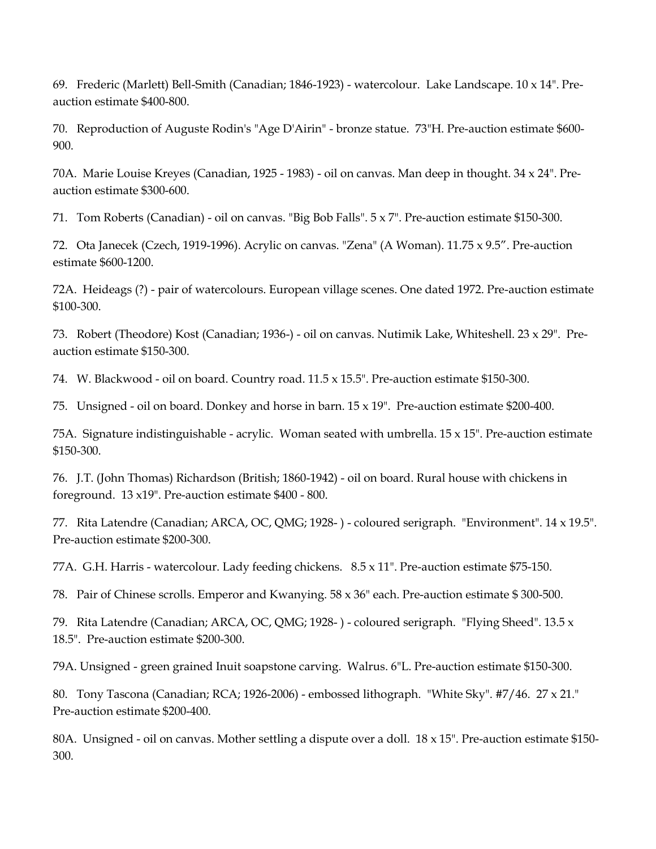69. Frederic (Marlett) Bell-Smith (Canadian; 1846-1923) - watercolour. Lake Landscape. 10 x 14". Preauction estimate \$400-800.

70. Reproduction of Auguste Rodin's "Age D'Airin" - bronze statue. 73"H. Pre-auction estimate \$600- 900.

70A. Marie Louise Kreyes (Canadian, 1925 - 1983) - oil on canvas. Man deep in thought. 34 x 24". Preauction estimate \$300-600.

71. Tom Roberts (Canadian) - oil on canvas. "Big Bob Falls". 5 x 7". Pre-auction estimate \$150-300.

72. Ota Janecek (Czech, 1919-1996). Acrylic on canvas. "Zena" (A Woman). 11.75 x 9.5". Pre-auction estimate \$600-1200.

72A. Heideags (?) - pair of watercolours. European village scenes. One dated 1972. Pre-auction estimate \$100-300.

73. Robert (Theodore) Kost (Canadian; 1936-) - oil on canvas. Nutimik Lake, Whiteshell. 23 x 29". Preauction estimate \$150-300.

74. W. Blackwood - oil on board. Country road. 11.5 x 15.5". Pre-auction estimate \$150-300.

75. Unsigned - oil on board. Donkey and horse in barn. 15 x 19". Pre-auction estimate \$200-400.

75A. Signature indistinguishable - acrylic. Woman seated with umbrella.  $15 \times 15$ ". Pre-auction estimate \$150-300.

76. J.T. (John Thomas) Richardson (British; 1860-1942) - oil on board. Rural house with chickens in foreground. 13 x19". Pre-auction estimate \$400 - 800.

77. Rita Latendre (Canadian; ARCA, OC, QMG; 1928- ) - coloured serigraph. "Environment". 14 x 19.5". Pre-auction estimate \$200-300.

77A. G.H. Harris - watercolour. Lady feeding chickens. 8.5 x 11". Pre-auction estimate \$75-150.

78. Pair of Chinese scrolls. Emperor and Kwanying. 58 x 36" each. Pre-auction estimate \$ 300-500.

79. Rita Latendre (Canadian; ARCA, OC, QMG; 1928- ) - coloured serigraph. "Flying Sheed". 13.5 x 18.5". Pre-auction estimate \$200-300.

79A. Unsigned - green grained Inuit soapstone carving. Walrus. 6"L. Pre-auction estimate \$150-300.

80. Tony Tascona (Canadian; RCA; 1926-2006) - embossed lithograph. "White Sky". #7/46. 27 x 21." Pre-auction estimate \$200-400.

80A. Unsigned - oil on canvas. Mother settling a dispute over a doll. 18 x 15". Pre-auction estimate \$150- 300.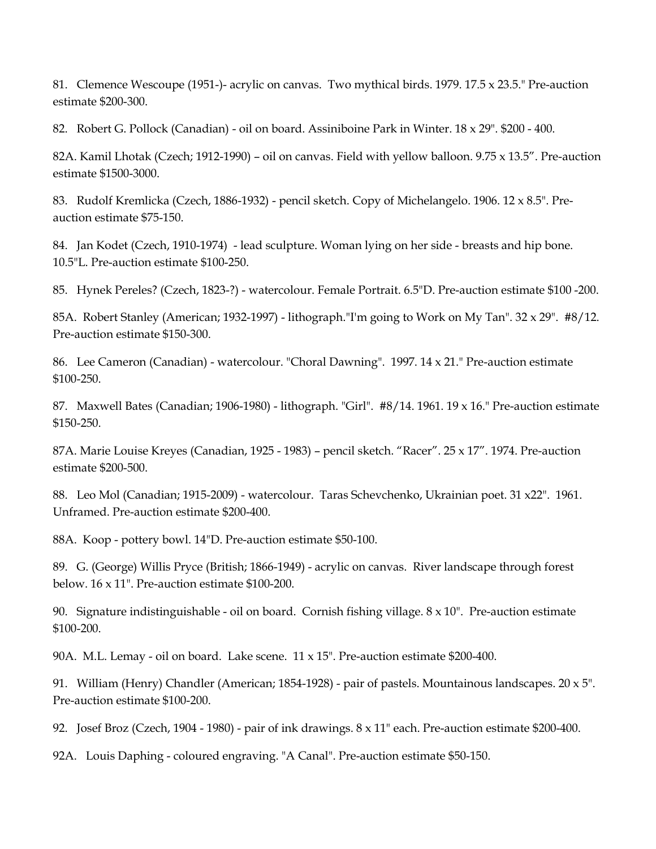81. Clemence Wescoupe (1951-)- acrylic on canvas. Two mythical birds. 1979. 17.5 x 23.5." Pre-auction estimate \$200-300.

82. Robert G. Pollock (Canadian) - oil on board. Assiniboine Park in Winter. 18 x 29". \$200 - 400.

82A. Kamil Lhotak (Czech; 1912-1990) – oil on canvas. Field with yellow balloon. 9.75 x 13.5". Pre-auction estimate \$1500-3000.

83. Rudolf Kremlicka (Czech, 1886-1932) - pencil sketch. Copy of Michelangelo. 1906. 12 x 8.5". Preauction estimate \$75-150.

84. Jan Kodet (Czech, 1910-1974) - lead sculpture. Woman lying on her side - breasts and hip bone. 10.5"L. Pre-auction estimate \$100-250.

85. Hynek Pereles? (Czech, 1823-?) - watercolour. Female Portrait. 6.5"D. Pre-auction estimate \$100 -200.

85A. Robert Stanley (American; 1932-1997) - lithograph."I'm going to Work on My Tan". 32 x 29". #8/12. Pre-auction estimate \$150-300.

86. Lee Cameron (Canadian) - watercolour. "Choral Dawning". 1997. 14 x 21." Pre-auction estimate \$100-250.

87. Maxwell Bates (Canadian; 1906-1980) - lithograph. "Girl". #8/14. 1961. 19 x 16." Pre-auction estimate \$150-250.

87A. Marie Louise Kreyes (Canadian, 1925 - 1983) – pencil sketch. "Racer". 25 x 17". 1974. Pre-auction estimate \$200-500.

88. Leo Mol (Canadian; 1915-2009) - watercolour. Taras Schevchenko, Ukrainian poet. 31 x22". 1961. Unframed. Pre-auction estimate \$200-400.

88A. Koop - pottery bowl. 14"D. Pre-auction estimate \$50-100.

89. G. (George) Willis Pryce (British; 1866-1949) - acrylic on canvas. River landscape through forest below. 16 x 11". Pre-auction estimate \$100-200.

90. Signature indistinguishable - oil on board. Cornish fishing village.  $8 \times 10$ ". Pre-auction estimate \$100-200.

90A. M.L. Lemay - oil on board. Lake scene.  $11 \times 15$ ". Pre-auction estimate \$200-400.

91. William (Henry) Chandler (American; 1854-1928) - pair of pastels. Mountainous landscapes. 20 x 5". Pre-auction estimate \$100-200.

92. Josef Broz (Czech, 1904 - 1980) - pair of ink drawings. 8 x 11" each. Pre-auction estimate \$200-400.

92A. Louis Daphing - coloured engraving. "A Canal". Pre-auction estimate \$50-150.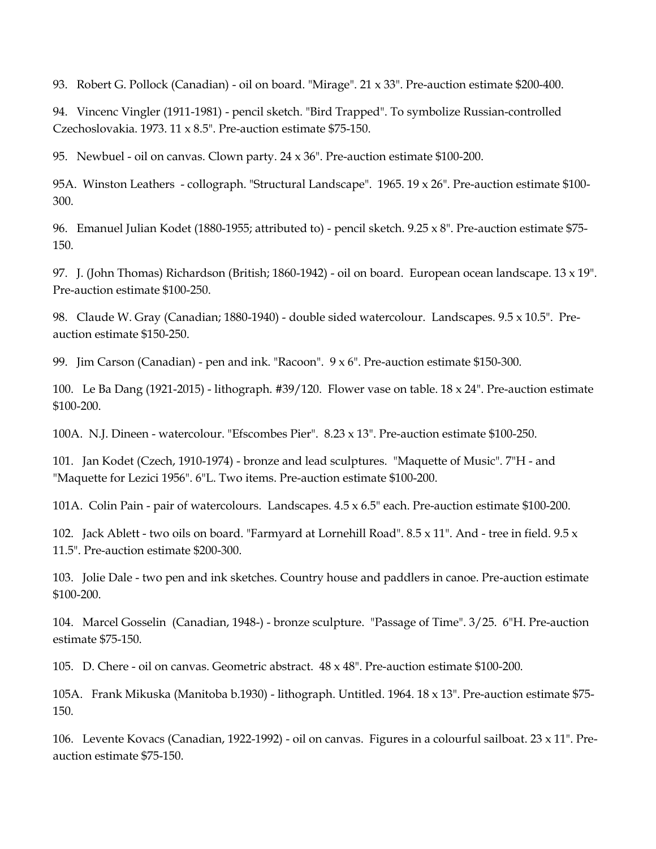93. Robert G. Pollock (Canadian) - oil on board. "Mirage". 21 x 33". Pre-auction estimate \$200-400.

94. Vincenc Vingler (1911-1981) - pencil sketch. "Bird Trapped". To symbolize Russian-controlled Czechoslovakia. 1973. 11 x 8.5". Pre-auction estimate \$75-150.

95. Newbuel - oil on canvas. Clown party. 24 x 36". Pre-auction estimate \$100-200.

95A. Winston Leathers - collograph. "Structural Landscape". 1965. 19 x 26". Pre-auction estimate \$100- 300.

96. Emanuel Julian Kodet (1880-1955; attributed to) - pencil sketch. 9.25 x 8". Pre-auction estimate \$75- 150.

97. J. (John Thomas) Richardson (British; 1860-1942) - oil on board. European ocean landscape. 13 x 19". Pre-auction estimate \$100-250.

98. Claude W. Gray (Canadian; 1880-1940) - double sided watercolour. Landscapes. 9.5 x 10.5". Preauction estimate \$150-250.

99. Jim Carson (Canadian) - pen and ink. "Racoon". 9 x 6". Pre-auction estimate \$150-300.

100. Le Ba Dang (1921-2015) - lithograph. #39/120. Flower vase on table. 18 x 24". Pre-auction estimate \$100-200.

100A. N.J. Dineen - watercolour. "Efscombes Pier". 8.23 x 13". Pre-auction estimate \$100-250.

101. Jan Kodet (Czech, 1910-1974) - bronze and lead sculptures. "Maquette of Music". 7"H - and "Maquette for Lezici 1956". 6"L. Two items. Pre-auction estimate \$100-200.

101A. Colin Pain - pair of watercolours. Landscapes. 4.5 x 6.5" each. Pre-auction estimate \$100-200.

102. Jack Ablett - two oils on board. "Farmyard at Lornehill Road". 8.5 x 11". And - tree in field. 9.5 x 11.5". Pre-auction estimate \$200-300.

103. Jolie Dale - two pen and ink sketches. Country house and paddlers in canoe. Pre-auction estimate \$100-200.

104. Marcel Gosselin (Canadian, 1948-) - bronze sculpture. "Passage of Time". 3/25. 6"H. Pre-auction estimate \$75-150.

105. D. Chere - oil on canvas. Geometric abstract. 48 x 48". Pre-auction estimate \$100-200.

105A. Frank Mikuska (Manitoba b.1930) - lithograph. Untitled. 1964. 18 x 13". Pre-auction estimate \$75- 150.

106. Levente Kovacs (Canadian, 1922-1992) - oil on canvas. Figures in a colourful sailboat. 23 x 11". Preauction estimate \$75-150.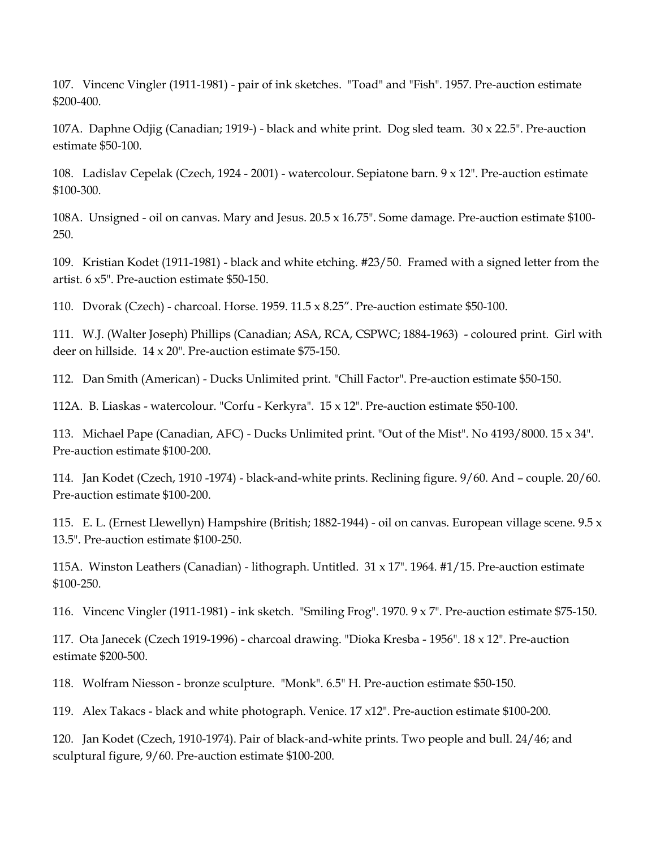107. Vincenc Vingler (1911-1981) - pair of ink sketches. "Toad" and "Fish". 1957. Pre-auction estimate \$200-400.

107A. Daphne Odjig (Canadian; 1919-) - black and white print. Dog sled team. 30 x 22.5". Pre-auction estimate \$50-100.

108. Ladislav Cepelak (Czech, 1924 - 2001) - watercolour. Sepiatone barn. 9 x 12". Pre-auction estimate \$100-300.

108A. Unsigned - oil on canvas. Mary and Jesus. 20.5 x 16.75". Some damage. Pre-auction estimate \$100- 250.

109. Kristian Kodet (1911-1981) - black and white etching. #23/50. Framed with a signed letter from the artist. 6 x5". Pre-auction estimate \$50-150.

110. Dvorak (Czech) - charcoal. Horse. 1959. 11.5 x 8.25". Pre-auction estimate \$50-100.

111. W.J. (Walter Joseph) Phillips (Canadian; ASA, RCA, CSPWC; 1884-1963) - coloured print. Girl with deer on hillside. 14 x 20". Pre-auction estimate \$75-150.

112. Dan Smith (American) - Ducks Unlimited print. "Chill Factor". Pre-auction estimate \$50-150.

112A. B. Liaskas - watercolour. "Corfu - Kerkyra". 15 x 12". Pre-auction estimate \$50-100.

113. Michael Pape (Canadian, AFC) - Ducks Unlimited print. "Out of the Mist". No 4193/8000. 15 x 34". Pre-auction estimate \$100-200.

114. Jan Kodet (Czech, 1910 -1974) - black-and-white prints. Reclining figure. 9/60. And – couple. 20/60. Pre-auction estimate \$100-200.

115. E. L. (Ernest Llewellyn) Hampshire (British; 1882-1944) - oil on canvas. European village scene. 9.5 x 13.5". Pre-auction estimate \$100-250.

115A. Winston Leathers (Canadian) - lithograph. Untitled. 31 x 17". 1964. #1/15. Pre-auction estimate \$100-250.

116. Vincenc Vingler (1911-1981) - ink sketch. "Smiling Frog". 1970. 9 x 7". Pre-auction estimate \$75-150.

117. Ota Janecek (Czech 1919-1996) - charcoal drawing. "Dioka Kresba - 1956". 18 x 12". Pre-auction estimate \$200-500.

118. Wolfram Niesson - bronze sculpture. "Monk". 6.5" H. Pre-auction estimate \$50-150.

119. Alex Takacs - black and white photograph. Venice. 17 x12". Pre-auction estimate \$100-200.

120. Jan Kodet (Czech, 1910-1974). Pair of black-and-white prints. Two people and bull. 24/46; and sculptural figure, 9/60. Pre-auction estimate \$100-200.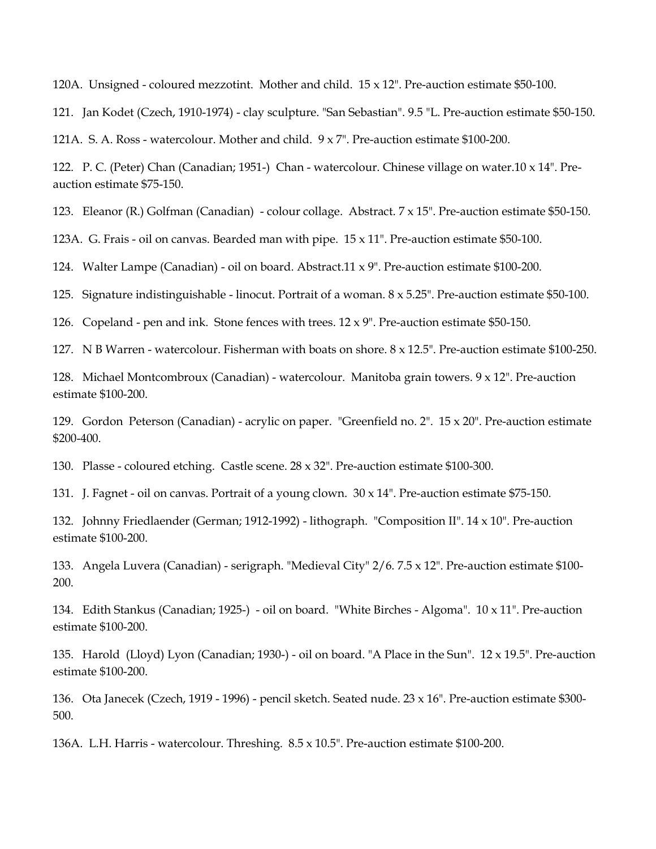120A. Unsigned - coloured mezzotint. Mother and child.  $15 \times 12$ ". Pre-auction estimate \$50-100.

121. Jan Kodet (Czech, 1910-1974) - clay sculpture. "San Sebastian". 9.5 "L. Pre-auction estimate \$50-150.

121A. S. A. Ross - watercolour. Mother and child. 9 x 7". Pre-auction estimate \$100-200.

122. P. C. (Peter) Chan (Canadian; 1951-) Chan - watercolour. Chinese village on water.10 x 14". Preauction estimate \$75-150.

123. Eleanor (R.) Golfman (Canadian) - colour collage. Abstract. 7 x 15". Pre-auction estimate \$50-150.

123A. G. Frais - oil on canvas. Bearded man with pipe. 15 x 11". Pre-auction estimate \$50-100.

124. Walter Lampe (Canadian) - oil on board. Abstract.11 x 9". Pre-auction estimate \$100-200.

125. Signature indistinguishable - linocut. Portrait of a woman. 8 x 5.25". Pre-auction estimate \$50-100.

126. Copeland - pen and ink. Stone fences with trees.  $12 \times 9$ ". Pre-auction estimate \$50-150.

127. N B Warren - watercolour. Fisherman with boats on shore. 8 x 12.5". Pre-auction estimate \$100-250.

128. Michael Montcombroux (Canadian) - watercolour. Manitoba grain towers. 9 x 12". Pre-auction estimate \$100-200.

129. Gordon Peterson (Canadian) - acrylic on paper. "Greenfield no. 2". 15 x 20". Pre-auction estimate \$200-400.

130. Plasse - coloured etching. Castle scene. 28 x 32". Pre-auction estimate \$100-300.

131. J. Fagnet - oil on canvas. Portrait of a young clown. 30 x 14". Pre-auction estimate \$75-150.

132. Johnny Friedlaender (German; 1912-1992) - lithograph. "Composition II". 14 x 10". Pre-auction estimate \$100-200.

133. Angela Luvera (Canadian) - serigraph. "Medieval City" 2/6. 7.5 x 12". Pre-auction estimate \$100- 200.

134. Edith Stankus (Canadian; 1925-) - oil on board. "White Birches - Algoma". 10 x 11". Pre-auction estimate \$100-200.

135. Harold (Lloyd) Lyon (Canadian; 1930-) - oil on board. "A Place in the Sun". 12 x 19.5". Pre-auction estimate \$100-200.

136. Ota Janecek (Czech, 1919 - 1996) - pencil sketch. Seated nude. 23 x 16". Pre-auction estimate \$300- 500.

136A. L.H. Harris - watercolour. Threshing. 8.5 x 10.5". Pre-auction estimate \$100-200.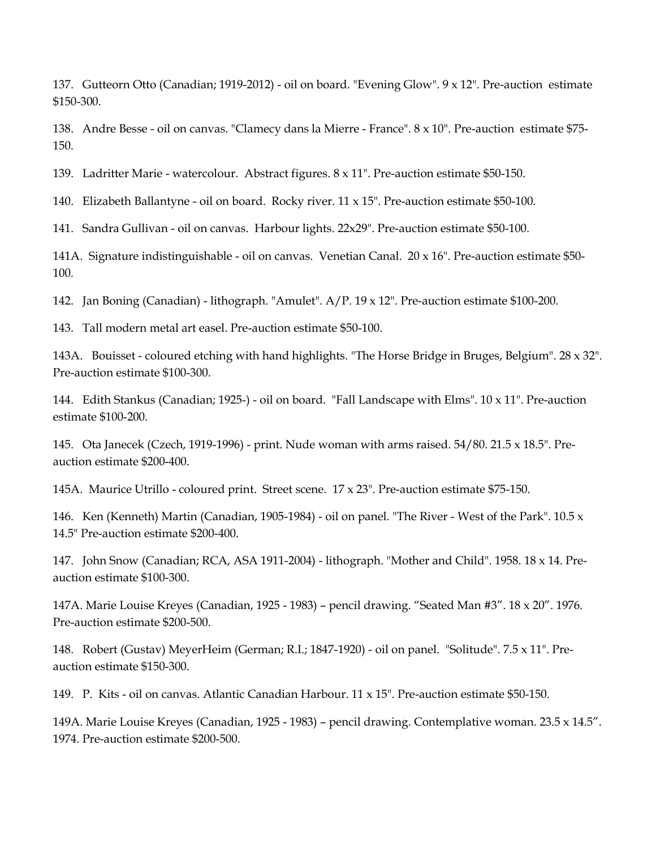137. Gutteorn Otto (Canadian; 1919-2012) - oil on board. "Evening Glow". 9 x 12". Pre-auction estimate \$150-300.

138. Andre Besse - oil on canvas. "Clamecy dans la Mierre - France". 8 x 10". Pre-auction estimate \$75- 150.

139. Ladritter Marie - watercolour. Abstract figures. 8 x 11". Pre-auction estimate \$50-150.

140. Elizabeth Ballantyne - oil on board. Rocky river.  $11 \times 15$ ". Pre-auction estimate \$50-100.

141. Sandra Gullivan - oil on canvas. Harbour lights. 22x29". Pre-auction estimate \$50-100.

141A. Signature indistinguishable - oil on canvas. Venetian Canal. 20 x 16". Pre-auction estimate \$50- 100.

142. Jan Boning (Canadian) - lithograph. "Amulet". A/P. 19 x 12". Pre-auction estimate \$100-200.

143. Tall modern metal art easel. Pre-auction estimate \$50-100.

143A. Bouisset - coloured etching with hand highlights. "The Horse Bridge in Bruges, Belgium". 28 x 32". Pre-auction estimate \$100-300.

144. Edith Stankus (Canadian; 1925-) - oil on board. "Fall Landscape with Elms". 10 x 11". Pre-auction estimate \$100-200.

145. Ota Janecek (Czech, 1919-1996) - print. Nude woman with arms raised. 54/80. 21.5 x 18.5". Preauction estimate \$200-400.

145A. Maurice Utrillo - coloured print. Street scene. 17 x 23". Pre-auction estimate \$75-150.

146. Ken (Kenneth) Martin (Canadian, 1905-1984) - oil on panel. "The River - West of the Park". 10.5 x 14.5" Pre-auction estimate \$200-400.

147. John Snow (Canadian; RCA, ASA 1911-2004) - lithograph. "Mother and Child". 1958. 18 x 14. Preauction estimate \$100-300.

147A. Marie Louise Kreyes (Canadian, 1925 - 1983) – pencil drawing. "Seated Man #3". 18 x 20". 1976. Pre-auction estimate \$200-500.

148. Robert (Gustav) MeyerHeim (German; R.I.; 1847-1920) - oil on panel. "Solitude". 7.5 x 11". Preauction estimate \$150-300.

149. P. Kits - oil on canvas. Atlantic Canadian Harbour. 11 x 15". Pre-auction estimate \$50-150.

149A. Marie Louise Kreyes (Canadian, 1925 - 1983) – pencil drawing. Contemplative woman. 23.5 x 14.5". 1974. Pre-auction estimate \$200-500.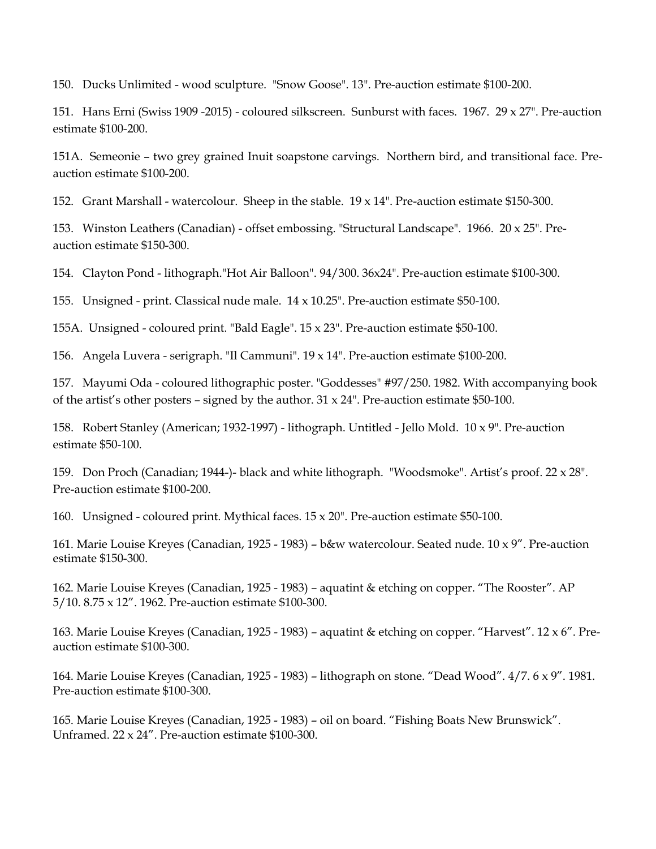150. Ducks Unlimited - wood sculpture. "Snow Goose". 13". Pre-auction estimate \$100-200.

151. Hans Erni (Swiss 1909 -2015) - coloured silkscreen. Sunburst with faces. 1967. 29 x 27". Pre-auction estimate \$100-200.

151A. Semeonie – two grey grained Inuit soapstone carvings. Northern bird, and transitional face. Preauction estimate \$100-200.

152. Grant Marshall - watercolour. Sheep in the stable. 19 x 14". Pre-auction estimate \$150-300.

153. Winston Leathers (Canadian) - offset embossing. "Structural Landscape". 1966. 20 x 25". Preauction estimate \$150-300.

154. Clayton Pond - lithograph."Hot Air Balloon". 94/300. 36x24". Pre-auction estimate \$100-300.

155. Unsigned - print. Classical nude male.  $14 \times 10.25$ ". Pre-auction estimate \$50-100.

155A. Unsigned - coloured print. "Bald Eagle". 15 x 23". Pre-auction estimate \$50-100.

156. Angela Luvera - serigraph. "Il Cammuni". 19 x 14". Pre-auction estimate \$100-200.

157. Mayumi Oda - coloured lithographic poster. "Goddesses" #97/250. 1982. With accompanying book of the artist's other posters – signed by the author.  $31 \times 24$ ". Pre-auction estimate \$50-100.

158. Robert Stanley (American; 1932-1997) - lithograph. Untitled - Jello Mold. 10 x 9". Pre-auction estimate \$50-100.

159. Don Proch (Canadian; 1944-)- black and white lithograph. "Woodsmoke". Artist's proof. 22 x 28". Pre-auction estimate \$100-200.

160. Unsigned - coloured print. Mythical faces.  $15 \times 20$ ". Pre-auction estimate \$50-100.

161. Marie Louise Kreyes (Canadian, 1925 - 1983) – b&w watercolour. Seated nude. 10 x 9". Pre-auction estimate \$150-300.

162. Marie Louise Kreyes (Canadian, 1925 - 1983) – aquatint & etching on copper. "The Rooster". AP 5/10. 8.75 x 12". 1962. Pre-auction estimate \$100-300.

163. Marie Louise Kreyes (Canadian, 1925 - 1983) – aquatint & etching on copper. "Harvest". 12 x 6". Preauction estimate \$100-300.

164. Marie Louise Kreyes (Canadian, 1925 - 1983) – lithograph on stone. "Dead Wood". 4/7. 6 x 9". 1981. Pre-auction estimate \$100-300.

165. Marie Louise Kreyes (Canadian, 1925 - 1983) – oil on board. "Fishing Boats New Brunswick". Unframed. 22 x 24". Pre-auction estimate \$100-300.